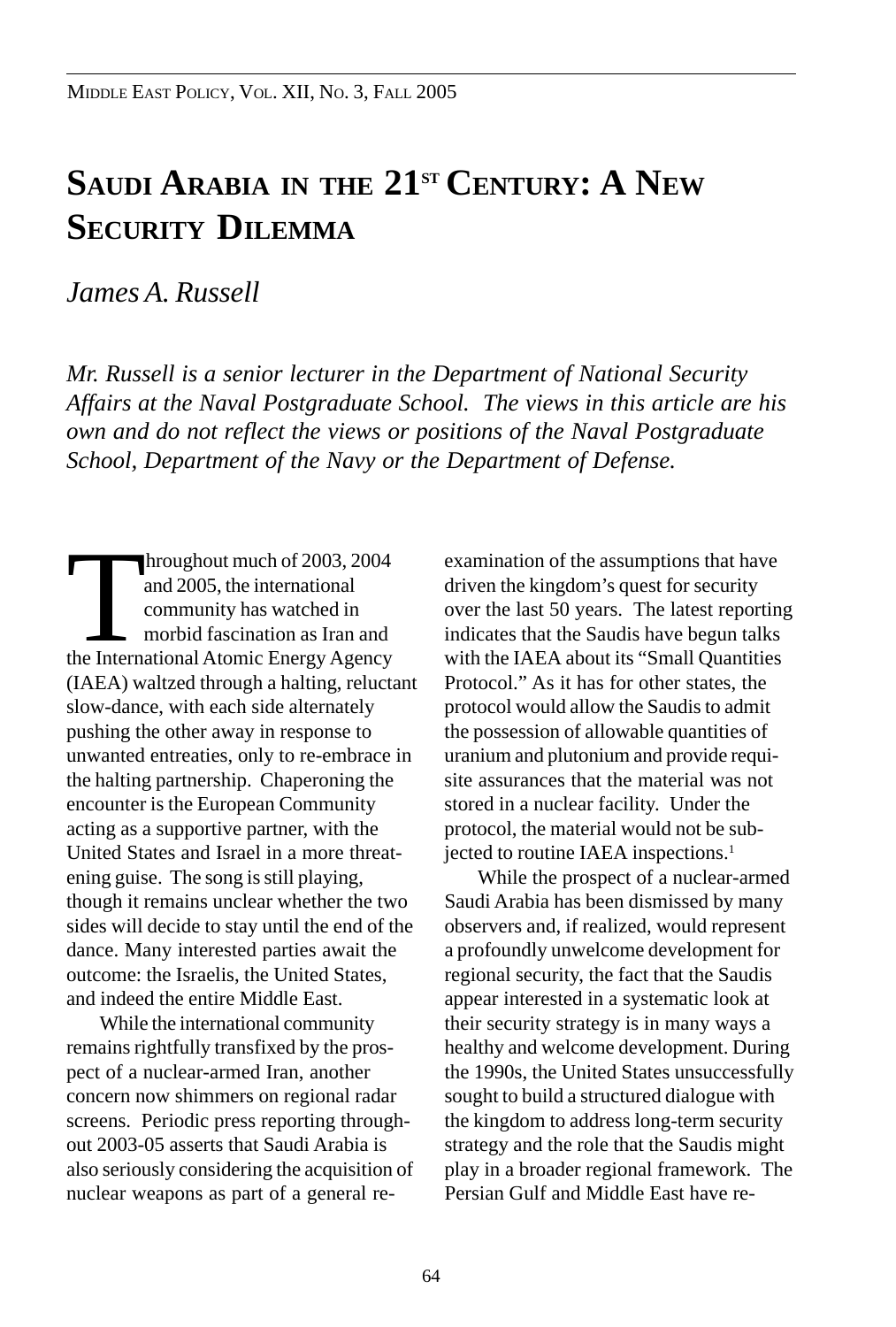# **SAUDI ARABIA IN THE 21ST CENTURY: A NEW SECURITY DILEMMA**

*James A. Russell*

*Mr. Russell is a senior lecturer in the Department of National Security Affairs at the Naval Postgraduate School. The views in this article are his own and do not reflect the views or positions of the Naval Postgraduate School, Department of the Navy or the Department of Defense.*

Arroughout much of 2003, 2004<br>
and 2005, the international<br>
community has watched in<br>
morbid fascination as Iran and<br>
the International Atomic Energy Agency and 2005, the international community has watched in morbid fascination as Iran and (IAEA) waltzed through a halting, reluctant slow-dance, with each side alternately pushing the other away in response to unwanted entreaties, only to re-embrace in the halting partnership. Chaperoning the encounter is the European Community acting as a supportive partner, with the United States and Israel in a more threatening guise. The song is still playing, though it remains unclear whether the two sides will decide to stay until the end of the dance. Many interested parties await the outcome: the Israelis, the United States, and indeed the entire Middle East.

While the international community remains rightfully transfixed by the prospect of a nuclear-armed Iran, another concern now shimmers on regional radar screens. Periodic press reporting throughout 2003-05 asserts that Saudi Arabia is also seriously considering the acquisition of nuclear weapons as part of a general reexamination of the assumptions that have driven the kingdom's quest for security over the last 50 years. The latest reporting indicates that the Saudis have begun talks with the IAEA about its "Small Quantities Protocol." As it has for other states, the protocol would allow the Saudis to admit the possession of allowable quantities of uranium and plutonium and provide requisite assurances that the material was not stored in a nuclear facility. Under the protocol, the material would not be subjected to routine IAEA inspections.<sup>1</sup>

While the prospect of a nuclear-armed Saudi Arabia has been dismissed by many observers and, if realized, would represent a profoundly unwelcome development for regional security, the fact that the Saudis appear interested in a systematic look at their security strategy is in many ways a healthy and welcome development. During the 1990s, the United States unsuccessfully sought to build a structured dialogue with the kingdom to address long-term security strategy and the role that the Saudis might play in a broader regional framework. The Persian Gulf and Middle East have re-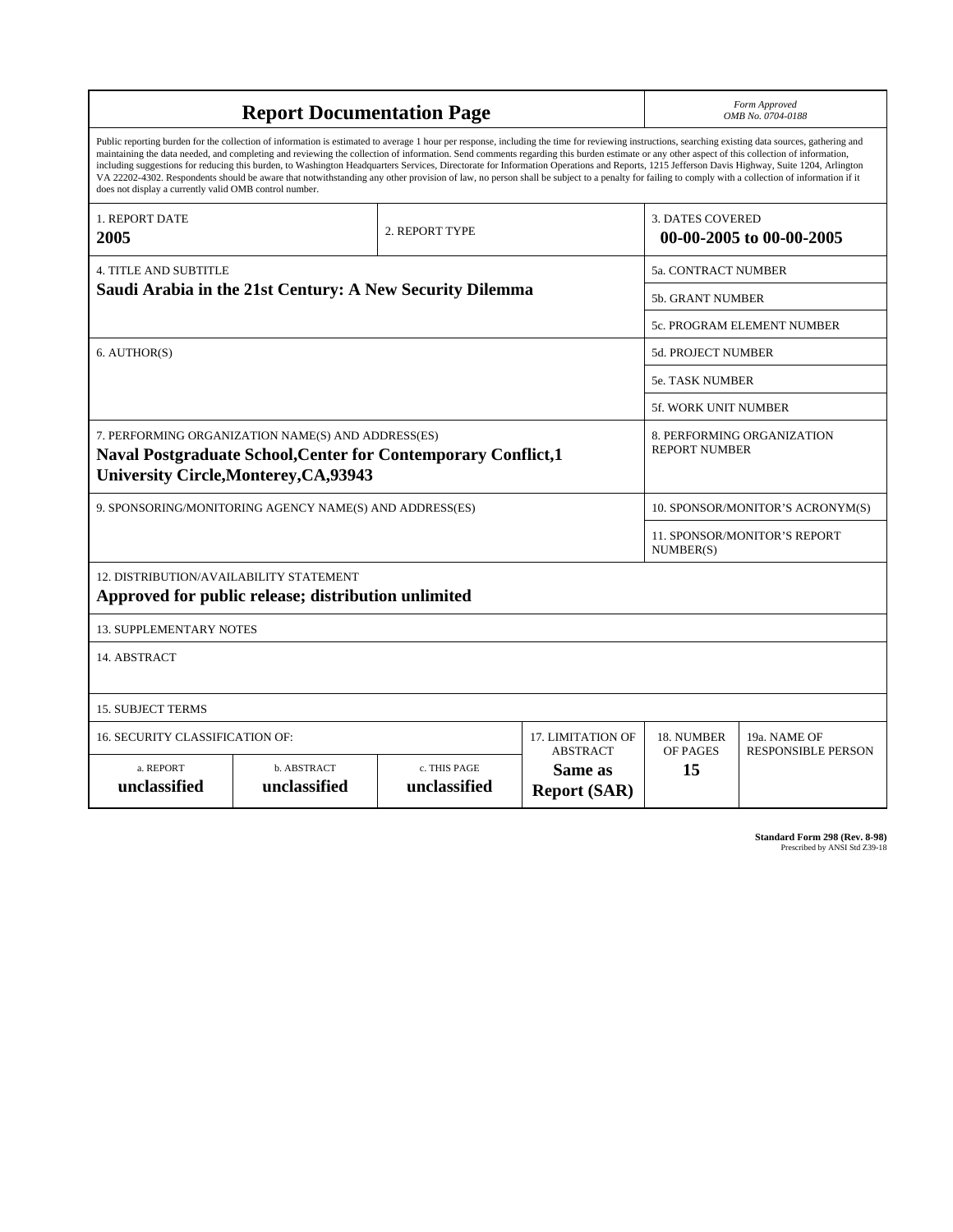| <b>Report Documentation Page</b>                                                                                                                                                                                                                                                                                                                                                                                                                                                                                                                                                                                                                                                                                                                                                                                                                                   |                                    |                              |                                                   | Form Approved<br>OMB No. 0704-0188                  |                           |
|--------------------------------------------------------------------------------------------------------------------------------------------------------------------------------------------------------------------------------------------------------------------------------------------------------------------------------------------------------------------------------------------------------------------------------------------------------------------------------------------------------------------------------------------------------------------------------------------------------------------------------------------------------------------------------------------------------------------------------------------------------------------------------------------------------------------------------------------------------------------|------------------------------------|------------------------------|---------------------------------------------------|-----------------------------------------------------|---------------------------|
| Public reporting burden for the collection of information is estimated to average 1 hour per response, including the time for reviewing instructions, searching existing data sources, gathering and<br>maintaining the data needed, and completing and reviewing the collection of information. Send comments regarding this burden estimate or any other aspect of this collection of information,<br>including suggestions for reducing this burden, to Washington Headquarters Services, Directorate for Information Operations and Reports, 1215 Jefferson Davis Highway, Suite 1204, Arlington<br>VA 22202-4302. Respondents should be aware that notwithstanding any other provision of law, no person shall be subject to a penalty for failing to comply with a collection of information if it<br>does not display a currently valid OMB control number. |                                    |                              |                                                   |                                                     |                           |
| 1. REPORT DATE<br>2005                                                                                                                                                                                                                                                                                                                                                                                                                                                                                                                                                                                                                                                                                                                                                                                                                                             |                                    | 2. REPORT TYPE               |                                                   | <b>3. DATES COVERED</b><br>00-00-2005 to 00-00-2005 |                           |
| <b>4. TITLE AND SUBTITLE</b>                                                                                                                                                                                                                                                                                                                                                                                                                                                                                                                                                                                                                                                                                                                                                                                                                                       |                                    |                              |                                                   | <b>5a. CONTRACT NUMBER</b>                          |                           |
| Saudi Arabia in the 21st Century: A New Security Dilemma                                                                                                                                                                                                                                                                                                                                                                                                                                                                                                                                                                                                                                                                                                                                                                                                           |                                    |                              |                                                   | 5b. GRANT NUMBER                                    |                           |
|                                                                                                                                                                                                                                                                                                                                                                                                                                                                                                                                                                                                                                                                                                                                                                                                                                                                    |                                    |                              |                                                   | 5c. PROGRAM ELEMENT NUMBER                          |                           |
| 6. AUTHOR(S)                                                                                                                                                                                                                                                                                                                                                                                                                                                                                                                                                                                                                                                                                                                                                                                                                                                       |                                    |                              |                                                   | 5d. PROJECT NUMBER                                  |                           |
|                                                                                                                                                                                                                                                                                                                                                                                                                                                                                                                                                                                                                                                                                                                                                                                                                                                                    |                                    |                              |                                                   | <b>5e. TASK NUMBER</b>                              |                           |
|                                                                                                                                                                                                                                                                                                                                                                                                                                                                                                                                                                                                                                                                                                                                                                                                                                                                    |                                    |                              |                                                   | <b>5f. WORK UNIT NUMBER</b>                         |                           |
| 7. PERFORMING ORGANIZATION NAME(S) AND ADDRESS(ES)<br><b>Naval Postgraduate School, Center for Contemporary Conflict, 1</b><br><b>University Circle, Monterey, CA, 93943</b>                                                                                                                                                                                                                                                                                                                                                                                                                                                                                                                                                                                                                                                                                       |                                    |                              |                                                   | 8. PERFORMING ORGANIZATION<br><b>REPORT NUMBER</b>  |                           |
| 9. SPONSORING/MONITORING AGENCY NAME(S) AND ADDRESS(ES)                                                                                                                                                                                                                                                                                                                                                                                                                                                                                                                                                                                                                                                                                                                                                                                                            |                                    |                              |                                                   | 10. SPONSOR/MONITOR'S ACRONYM(S)                    |                           |
|                                                                                                                                                                                                                                                                                                                                                                                                                                                                                                                                                                                                                                                                                                                                                                                                                                                                    |                                    |                              |                                                   | <b>11. SPONSOR/MONITOR'S REPORT</b><br>NUMBER(S)    |                           |
| 12. DISTRIBUTION/AVAILABILITY STATEMENT<br>Approved for public release; distribution unlimited                                                                                                                                                                                                                                                                                                                                                                                                                                                                                                                                                                                                                                                                                                                                                                     |                                    |                              |                                                   |                                                     |                           |
| <b>13. SUPPLEMENTARY NOTES</b>                                                                                                                                                                                                                                                                                                                                                                                                                                                                                                                                                                                                                                                                                                                                                                                                                                     |                                    |                              |                                                   |                                                     |                           |
| 14. ABSTRACT                                                                                                                                                                                                                                                                                                                                                                                                                                                                                                                                                                                                                                                                                                                                                                                                                                                       |                                    |                              |                                                   |                                                     |                           |
| <b>15. SUBJECT TERMS</b>                                                                                                                                                                                                                                                                                                                                                                                                                                                                                                                                                                                                                                                                                                                                                                                                                                           |                                    |                              |                                                   |                                                     |                           |
| 16. SECURITY CLASSIFICATION OF:                                                                                                                                                                                                                                                                                                                                                                                                                                                                                                                                                                                                                                                                                                                                                                                                                                    | 17. LIMITATION OF                  | 18. NUMBER                   | 19a. NAME OF                                      |                                                     |                           |
| a. REPORT<br>unclassified                                                                                                                                                                                                                                                                                                                                                                                                                                                                                                                                                                                                                                                                                                                                                                                                                                          | <b>b. ABSTRACT</b><br>unclassified | c. THIS PAGE<br>unclassified | <b>ABSTRACT</b><br>Same as<br><b>Report (SAR)</b> | OF PAGES<br>15                                      | <b>RESPONSIBLE PERSON</b> |

**Standard Form 298 (Rev. 8-98)**<br>Prescribed by ANSI Std Z39-18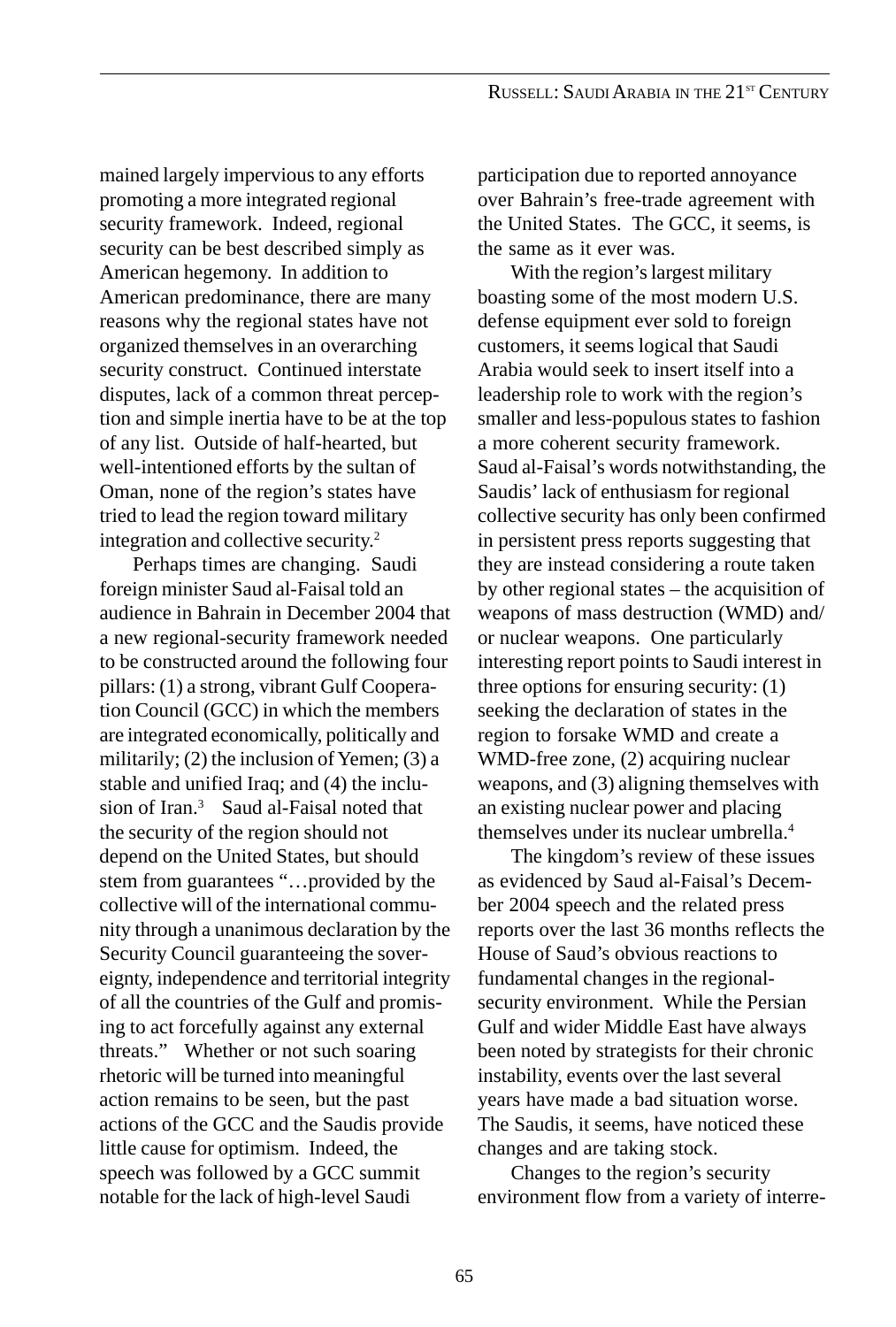mained largely impervious to any efforts promoting a more integrated regional security framework. Indeed, regional security can be best described simply as American hegemony. In addition to American predominance, there are many reasons why the regional states have not organized themselves in an overarching security construct. Continued interstate disputes, lack of a common threat perception and simple inertia have to be at the top of any list. Outside of half-hearted, but well-intentioned efforts by the sultan of Oman, none of the region's states have tried to lead the region toward military integration and collective security.2

Perhaps times are changing. Saudi foreign minister Saud al-Faisal told an audience in Bahrain in December 2004 that a new regional-security framework needed to be constructed around the following four pillars: (1) a strong, vibrant Gulf Cooperation Council (GCC) in which the members are integrated economically, politically and militarily; (2) the inclusion of Yemen; (3) a stable and unified Iraq; and (4) the inclusion of Iran.<sup>3</sup> Saud al-Faisal noted that the security of the region should not depend on the United States, but should stem from guarantees "…provided by the collective will of the international community through a unanimous declaration by the Security Council guaranteeing the sovereignty, independence and territorial integrity of all the countries of the Gulf and promising to act forcefully against any external threats." Whether or not such soaring rhetoric will be turned into meaningful action remains to be seen, but the past actions of the GCC and the Saudis provide little cause for optimism. Indeed, the speech was followed by a GCC summit notable for the lack of high-level Saudi

participation due to reported annoyance over Bahrain's free-trade agreement with the United States. The GCC, it seems, is the same as it ever was.

With the region's largest military boasting some of the most modern U.S. defense equipment ever sold to foreign customers, it seems logical that Saudi Arabia would seek to insert itself into a leadership role to work with the region's smaller and less-populous states to fashion a more coherent security framework. Saud al-Faisal's words notwithstanding, the Saudis' lack of enthusiasm for regional collective security has only been confirmed in persistent press reports suggesting that they are instead considering a route taken by other regional states – the acquisition of weapons of mass destruction (WMD) and/ or nuclear weapons. One particularly interesting report points to Saudi interest in three options for ensuring security: (1) seeking the declaration of states in the region to forsake WMD and create a WMD-free zone, (2) acquiring nuclear weapons, and (3) aligning themselves with an existing nuclear power and placing themselves under its nuclear umbrella.<sup>4</sup>

The kingdom's review of these issues as evidenced by Saud al-Faisal's December 2004 speech and the related press reports over the last 36 months reflects the House of Saud's obvious reactions to fundamental changes in the regionalsecurity environment. While the Persian Gulf and wider Middle East have always been noted by strategists for their chronic instability, events over the last several years have made a bad situation worse. The Saudis, it seems, have noticed these changes and are taking stock.

Changes to the region's security environment flow from a variety of interre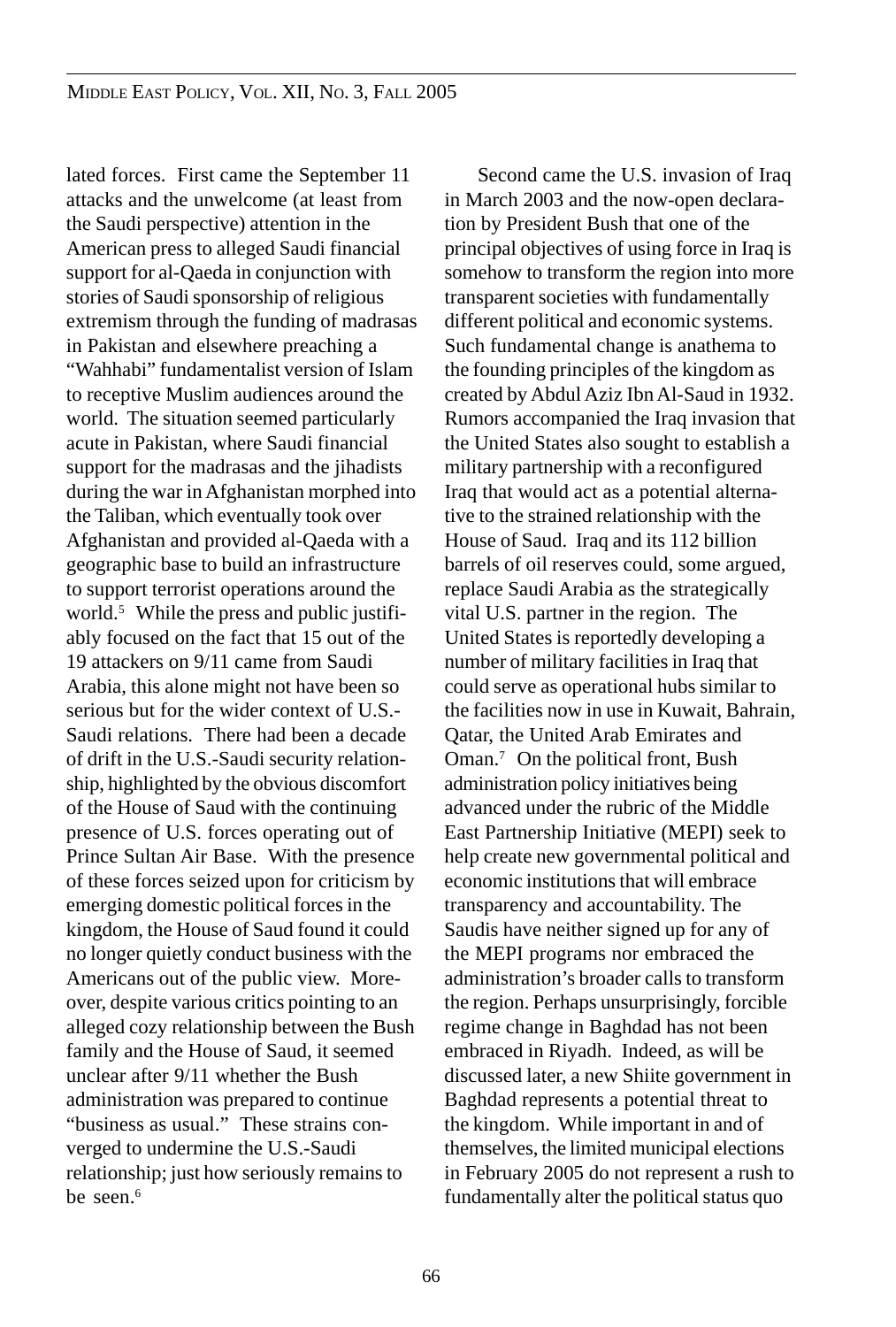lated forces. First came the September 11 attacks and the unwelcome (at least from the Saudi perspective) attention in the American press to alleged Saudi financial support for al-Qaeda in conjunction with stories of Saudi sponsorship of religious extremism through the funding of madrasas in Pakistan and elsewhere preaching a "Wahhabi" fundamentalist version of Islam to receptive Muslim audiences around the world. The situation seemed particularly acute in Pakistan, where Saudi financial support for the madrasas and the jihadists during the war in Afghanistan morphed into the Taliban, which eventually took over Afghanistan and provided al-Qaeda with a geographic base to build an infrastructure to support terrorist operations around the world.<sup>5</sup> While the press and public justifiably focused on the fact that 15 out of the 19 attackers on 9/11 came from Saudi Arabia, this alone might not have been so serious but for the wider context of U.S.- Saudi relations. There had been a decade of drift in the U.S.-Saudi security relationship, highlighted by the obvious discomfort of the House of Saud with the continuing presence of U.S. forces operating out of Prince Sultan Air Base. With the presence of these forces seized upon for criticism by emerging domestic political forces in the kingdom, the House of Saud found it could no longer quietly conduct business with the Americans out of the public view. Moreover, despite various critics pointing to an alleged cozy relationship between the Bush family and the House of Saud, it seemed unclear after 9/11 whether the Bush administration was prepared to continue "business as usual." These strains converged to undermine the U.S.-Saudi relationship; just how seriously remains to be seen.<sup>6</sup>

Second came the U.S. invasion of Iraq in March 2003 and the now-open declaration by President Bush that one of the principal objectives of using force in Iraq is somehow to transform the region into more transparent societies with fundamentally different political and economic systems. Such fundamental change is anathema to the founding principles of the kingdom as created by Abdul Aziz Ibn Al-Saud in 1932. Rumors accompanied the Iraq invasion that the United States also sought to establish a military partnership with a reconfigured Iraq that would act as a potential alternative to the strained relationship with the House of Saud. Iraq and its 112 billion barrels of oil reserves could, some argued, replace Saudi Arabia as the strategically vital U.S. partner in the region. The United States is reportedly developing a number of military facilities in Iraq that could serve as operational hubs similar to the facilities now in use in Kuwait, Bahrain, Qatar, the United Arab Emirates and Oman.7 On the political front, Bush administration policy initiatives being advanced under the rubric of the Middle East Partnership Initiative (MEPI) seek to help create new governmental political and economic institutions that will embrace transparency and accountability. The Saudis have neither signed up for any of the MEPI programs nor embraced the administration's broader calls to transform the region. Perhaps unsurprisingly, forcible regime change in Baghdad has not been embraced in Riyadh. Indeed, as will be discussed later, a new Shiite government in Baghdad represents a potential threat to the kingdom. While important in and of themselves, the limited municipal elections in February 2005 do not represent a rush to fundamentally alter the political status quo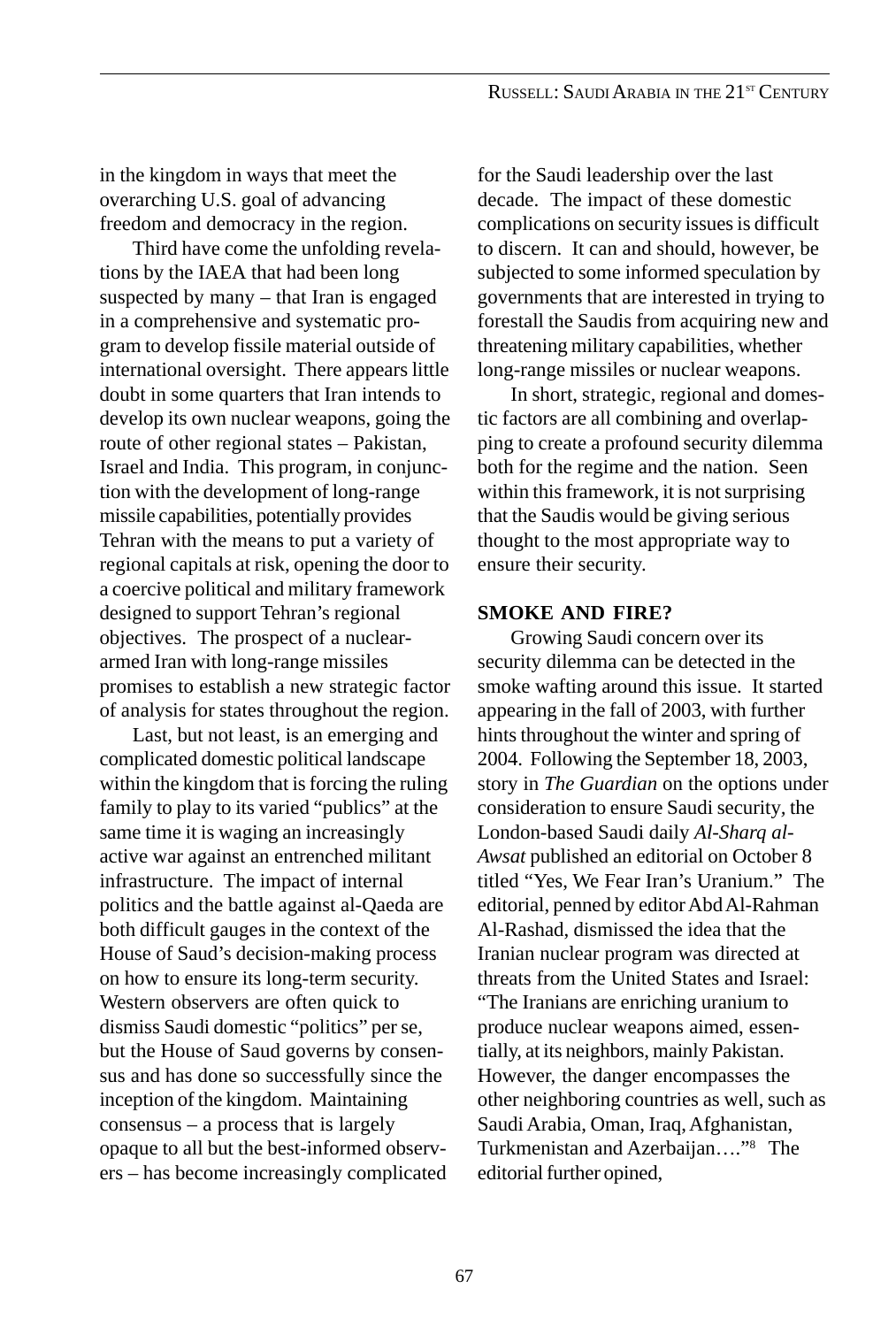in the kingdom in ways that meet the overarching U.S. goal of advancing freedom and democracy in the region.

Third have come the unfolding revelations by the IAEA that had been long suspected by many – that Iran is engaged in a comprehensive and systematic program to develop fissile material outside of international oversight. There appears little doubt in some quarters that Iran intends to develop its own nuclear weapons, going the route of other regional states – Pakistan, Israel and India. This program, in conjunction with the development of long-range missile capabilities, potentially provides Tehran with the means to put a variety of regional capitals at risk, opening the door to a coercive political and military framework designed to support Tehran's regional objectives. The prospect of a nucleararmed Iran with long-range missiles promises to establish a new strategic factor of analysis for states throughout the region.

Last, but not least, is an emerging and complicated domestic political landscape within the kingdom that is forcing the ruling family to play to its varied "publics" at the same time it is waging an increasingly active war against an entrenched militant infrastructure. The impact of internal politics and the battle against al-Qaeda are both difficult gauges in the context of the House of Saud's decision-making process on how to ensure its long-term security. Western observers are often quick to dismiss Saudi domestic "politics" per se, but the House of Saud governs by consensus and has done so successfully since the inception of the kingdom. Maintaining consensus – a process that is largely opaque to all but the best-informed observers – has become increasingly complicated

for the Saudi leadership over the last decade. The impact of these domestic complications on security issues is difficult to discern. It can and should, however, be subjected to some informed speculation by governments that are interested in trying to forestall the Saudis from acquiring new and threatening military capabilities, whether long-range missiles or nuclear weapons.

In short, strategic, regional and domestic factors are all combining and overlapping to create a profound security dilemma both for the regime and the nation. Seen within this framework, it is not surprising that the Saudis would be giving serious thought to the most appropriate way to ensure their security.

# **SMOKE AND FIRE?**

Growing Saudi concern over its security dilemma can be detected in the smoke wafting around this issue. It started appearing in the fall of 2003, with further hints throughout the winter and spring of 2004. Following the September 18, 2003, story in *The Guardian* on the options under consideration to ensure Saudi security*,* the London-based Saudi daily *Al-Sharq al-Awsat* published an editorial on October 8 titled "Yes, We Fear Iran's Uranium." The editorial, penned by editor Abd Al-Rahman Al-Rashad, dismissed the idea that the Iranian nuclear program was directed at threats from the United States and Israel: "The Iranians are enriching uranium to produce nuclear weapons aimed, essentially, at its neighbors, mainly Pakistan. However, the danger encompasses the other neighboring countries as well, such as Saudi Arabia, Oman, Iraq, Afghanistan, Turkmenistan and Azerbaijan…."8 The editorial further opined,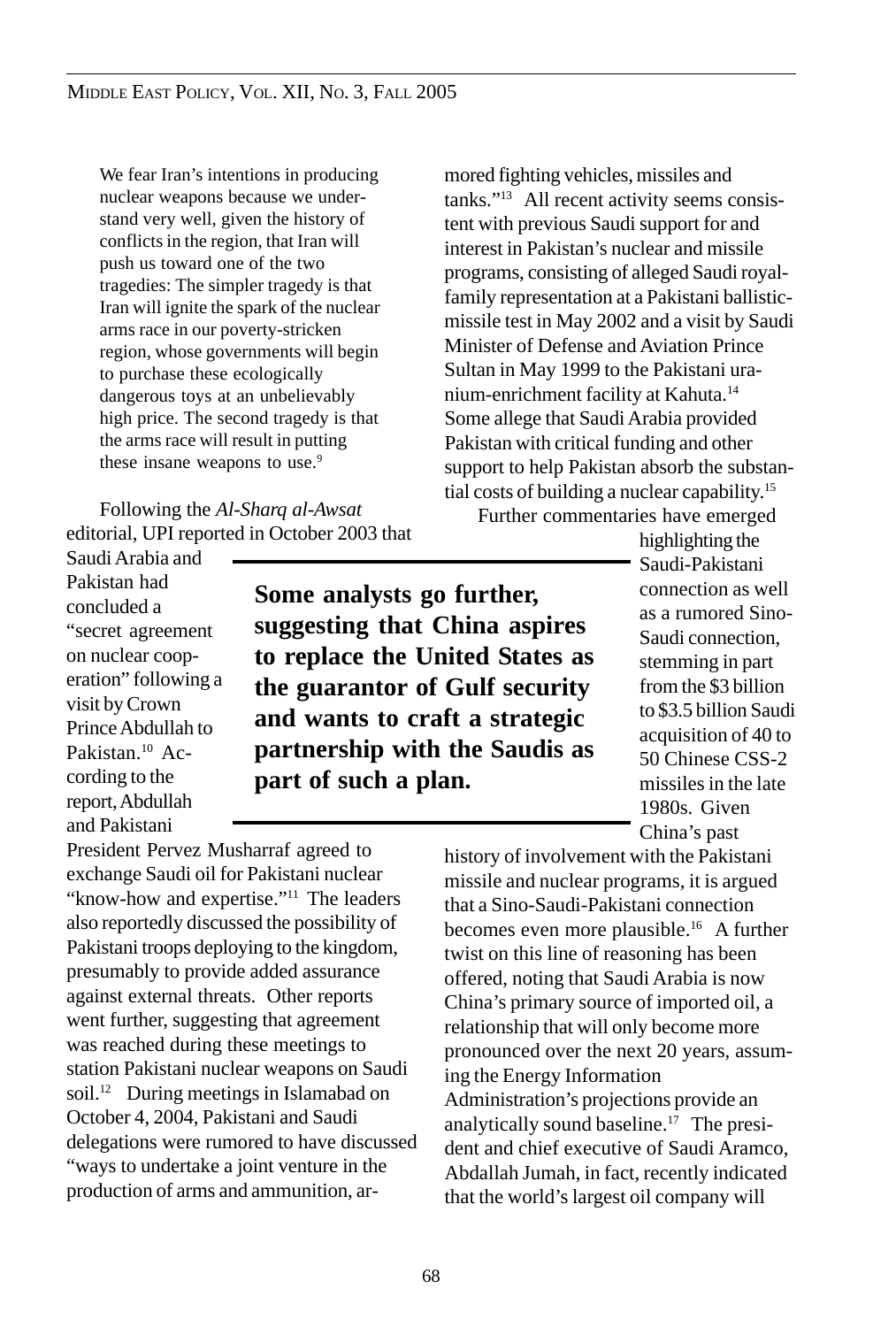We fear Iran's intentions in producing nuclear weapons because we understand very well, given the history of conflicts in the region, that Iran will push us toward one of the two tragedies: The simpler tragedy is that Iran will ignite the spark of the nuclear arms race in our poverty-stricken region, whose governments will begin to purchase these ecologically dangerous toys at an unbelievably high price. The second tragedy is that the arms race will result in putting these insane weapons to use.<sup>9</sup>

Following the *Al-Sharq al-Awsat* editorial, UPI reported in October 2003 that

Saudi Arabia and Pakistan had concluded a "secret agreement on nuclear cooperation" following a visit by Crown Prince Abdullah to Pakistan.10 According to the report, Abdullah and Pakistani

**Some analysts go further, suggesting that China aspires to replace the United States as the guarantor of Gulf security and wants to craft a strategic partnership with the Saudis as part of such a plan.**

President Pervez Musharraf agreed to exchange Saudi oil for Pakistani nuclear "know-how and expertise."11 The leaders also reportedly discussed the possibility of Pakistani troops deploying to the kingdom, presumably to provide added assurance against external threats. Other reports went further, suggesting that agreement was reached during these meetings to station Pakistani nuclear weapons on Saudi soil.<sup>12</sup> During meetings in Islamabad on October 4, 2004, Pakistani and Saudi delegations were rumored to have discussed "ways to undertake a joint venture in the production of arms and ammunition, armored fighting vehicles, missiles and tanks."13 All recent activity seems consistent with previous Saudi support for and interest in Pakistan's nuclear and missile programs, consisting of alleged Saudi royalfamily representation at a Pakistani ballisticmissile test in May 2002 and a visit by Saudi Minister of Defense and Aviation Prince Sultan in May 1999 to the Pakistani uranium-enrichment facility at Kahuta.14 Some allege that Saudi Arabia provided Pakistan with critical funding and other support to help Pakistan absorb the substantial costs of building a nuclear capability.15

Further commentaries have emerged

highlighting the Saudi-Pakistani connection as well as a rumored Sino-Saudi connection, stemming in part from the \$3 billion to \$3.5 billion Saudi acquisition of 40 to 50 Chinese CSS-2 missiles in the late 1980s. Given China's past

history of involvement with the Pakistani missile and nuclear programs, it is argued that a Sino-Saudi-Pakistani connection becomes even more plausible.<sup>16</sup> A further twist on this line of reasoning has been offered, noting that Saudi Arabia is now China's primary source of imported oil, a relationship that will only become more pronounced over the next 20 years, assuming the Energy Information Administration's projections provide an analytically sound baseline.<sup>17</sup> The president and chief executive of Saudi Aramco, Abdallah Jumah, in fact, recently indicated that the world's largest oil company will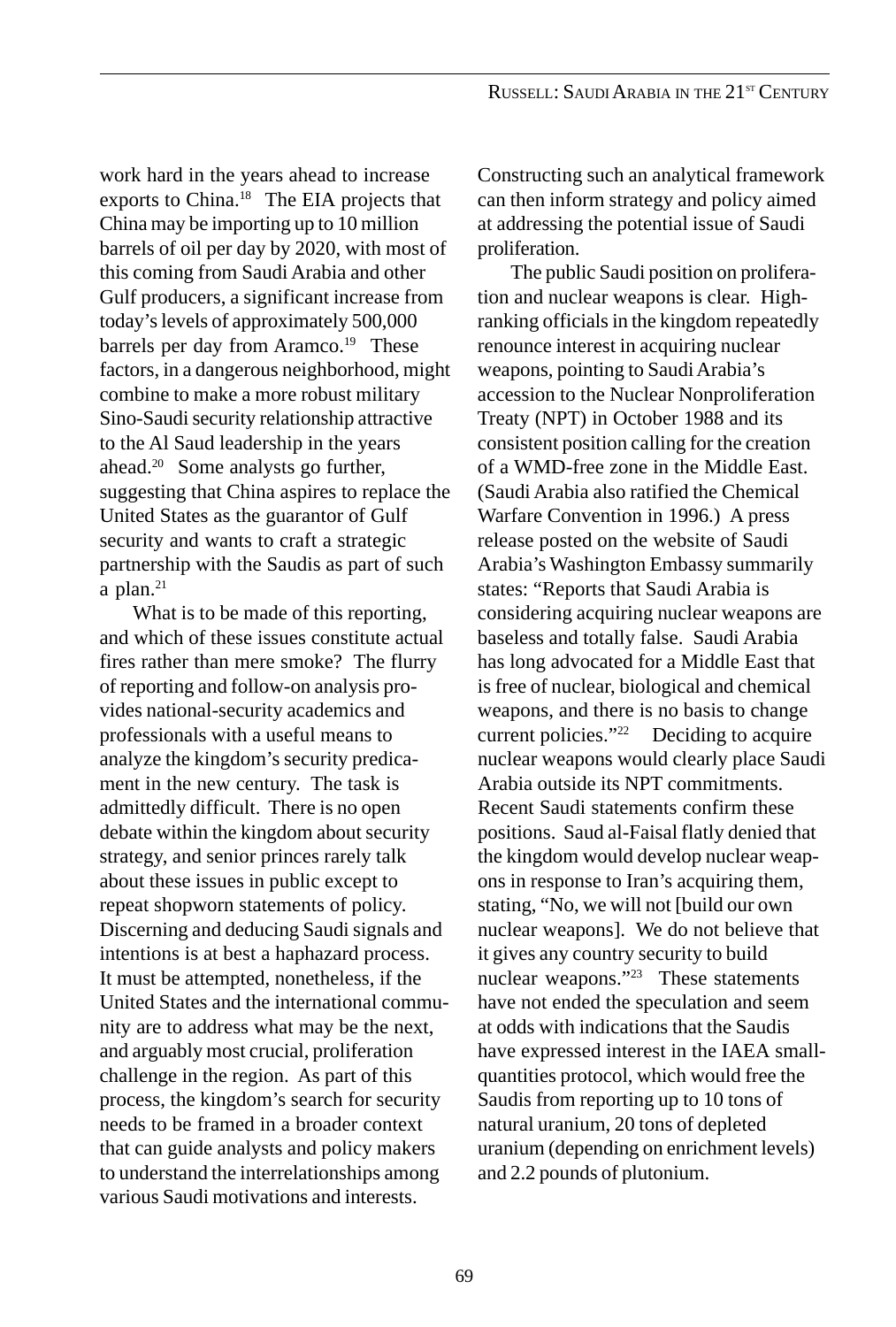work hard in the years ahead to increase exports to China.18 The EIA projects that China may be importing up to 10 million barrels of oil per day by 2020, with most of this coming from Saudi Arabia and other Gulf producers, a significant increase from today's levels of approximately 500,000 barrels per day from Aramco.<sup>19</sup> These factors, in a dangerous neighborhood, might combine to make a more robust military Sino-Saudi security relationship attractive to the Al Saud leadership in the years ahead.20 Some analysts go further, suggesting that China aspires to replace the United States as the guarantor of Gulf security and wants to craft a strategic partnership with the Saudis as part of such a plan. $21$ 

What is to be made of this reporting, and which of these issues constitute actual fires rather than mere smoke? The flurry of reporting and follow-on analysis provides national-security academics and professionals with a useful means to analyze the kingdom's security predicament in the new century. The task is admittedly difficult. There is no open debate within the kingdom about security strategy, and senior princes rarely talk about these issues in public except to repeat shopworn statements of policy. Discerning and deducing Saudi signals and intentions is at best a haphazard process. It must be attempted, nonetheless, if the United States and the international community are to address what may be the next, and arguably most crucial, proliferation challenge in the region. As part of this process, the kingdom's search for security needs to be framed in a broader context that can guide analysts and policy makers to understand the interrelationships among various Saudi motivations and interests.

Constructing such an analytical framework can then inform strategy and policy aimed at addressing the potential issue of Saudi proliferation.

The public Saudi position on proliferation and nuclear weapons is clear. Highranking officials in the kingdom repeatedly renounce interest in acquiring nuclear weapons, pointing to Saudi Arabia's accession to the Nuclear Nonproliferation Treaty (NPT) in October 1988 and its consistent position calling for the creation of a WMD-free zone in the Middle East. (Saudi Arabia also ratified the Chemical Warfare Convention in 1996.) A press release posted on the website of Saudi Arabia's Washington Embassy summarily states: "Reports that Saudi Arabia is considering acquiring nuclear weapons are baseless and totally false. Saudi Arabia has long advocated for a Middle East that is free of nuclear, biological and chemical weapons, and there is no basis to change current policies." $2^2$  Deciding to acquire nuclear weapons would clearly place Saudi Arabia outside its NPT commitments. Recent Saudi statements confirm these positions. Saud al-Faisal flatly denied that the kingdom would develop nuclear weapons in response to Iran's acquiring them, stating, "No, we will not [build our own nuclear weapons]. We do not believe that it gives any country security to build nuclear weapons."<sup>23</sup> These statements have not ended the speculation and seem at odds with indications that the Saudis have expressed interest in the IAEA smallquantities protocol, which would free the Saudis from reporting up to 10 tons of natural uranium, 20 tons of depleted uranium (depending on enrichment levels) and 2.2 pounds of plutonium.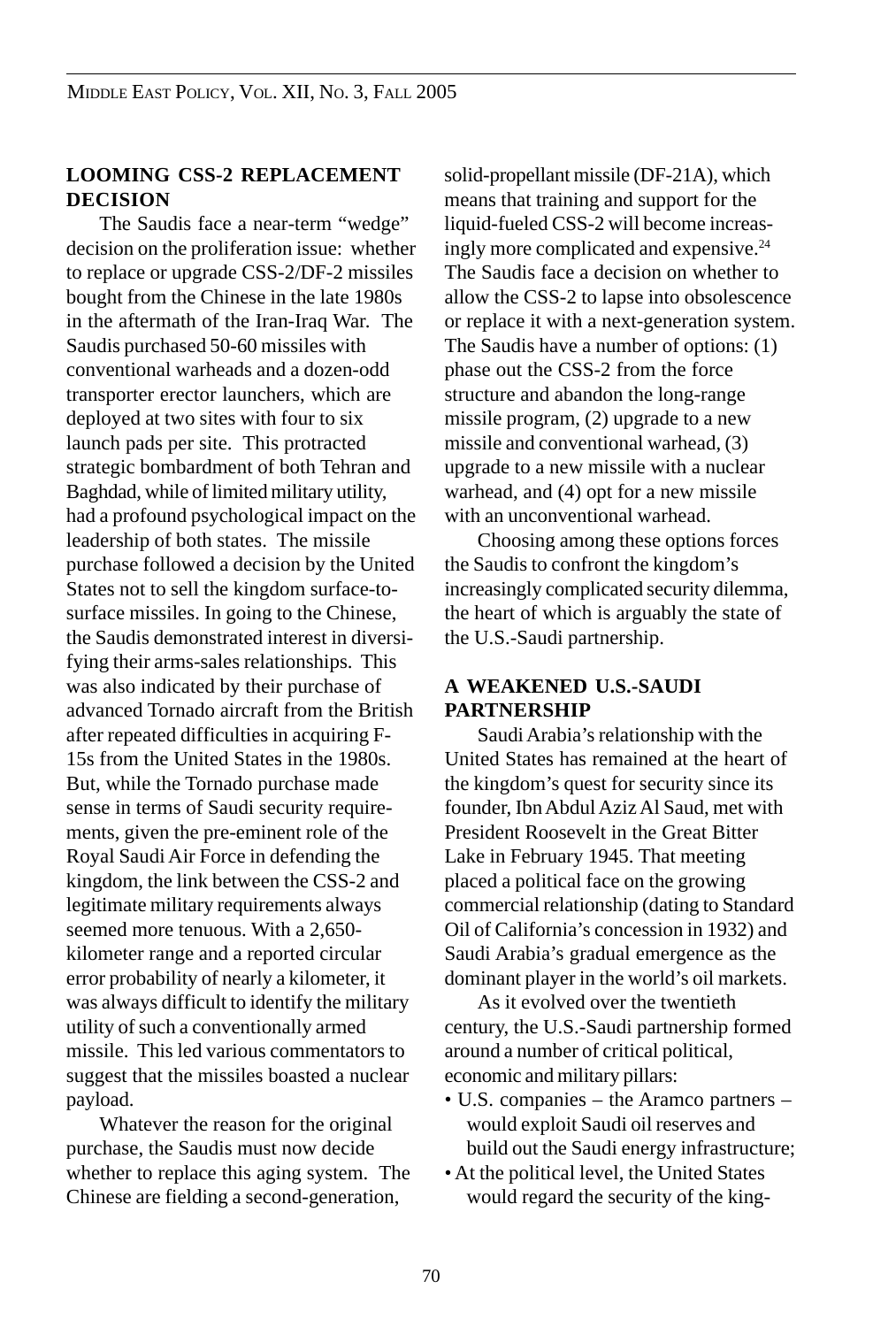# **LOOMING CSS-2 REPLACEMENT DECISION**

The Saudis face a near-term "wedge" decision on the proliferation issue: whether to replace or upgrade CSS-2/DF-2 missiles bought from the Chinese in the late 1980s in the aftermath of the Iran-Iraq War. The Saudis purchased 50-60 missiles with conventional warheads and a dozen-odd transporter erector launchers, which are deployed at two sites with four to six launch pads per site. This protracted strategic bombardment of both Tehran and Baghdad, while of limited military utility, had a profound psychological impact on the leadership of both states. The missile purchase followed a decision by the United States not to sell the kingdom surface-tosurface missiles. In going to the Chinese, the Saudis demonstrated interest in diversifying their arms-sales relationships. This was also indicated by their purchase of advanced Tornado aircraft from the British after repeated difficulties in acquiring F-15s from the United States in the 1980s. But, while the Tornado purchase made sense in terms of Saudi security requirements, given the pre-eminent role of the Royal Saudi Air Force in defending the kingdom, the link between the CSS-2 and legitimate military requirements always seemed more tenuous. With a 2,650 kilometer range and a reported circular error probability of nearly a kilometer, it was always difficult to identify the military utility of such a conventionally armed missile. This led various commentators to suggest that the missiles boasted a nuclear payload.

Whatever the reason for the original purchase, the Saudis must now decide whether to replace this aging system. The Chinese are fielding a second-generation,

solid-propellant missile (DF-21A), which means that training and support for the liquid-fueled CSS-2 will become increasingly more complicated and expensive.24 The Saudis face a decision on whether to allow the CSS-2 to lapse into obsolescence or replace it with a next-generation system. The Saudis have a number of options: (1) phase out the CSS-2 from the force structure and abandon the long-range missile program, (2) upgrade to a new missile and conventional warhead, (3) upgrade to a new missile with a nuclear warhead, and (4) opt for a new missile with an unconventional warhead.

Choosing among these options forces the Saudis to confront the kingdom's increasingly complicated security dilemma, the heart of which is arguably the state of the U.S.-Saudi partnership.

### **A WEAKENED U.S.-SAUDI PARTNERSHIP**

Saudi Arabia's relationship with the United States has remained at the heart of the kingdom's quest for security since its founder, Ibn Abdul Aziz Al Saud, met with President Roosevelt in the Great Bitter Lake in February 1945. That meeting placed a political face on the growing commercial relationship (dating to Standard Oil of California's concession in 1932) and Saudi Arabia's gradual emergence as the dominant player in the world's oil markets.

As it evolved over the twentieth century, the U.S.-Saudi partnership formed around a number of critical political, economic and military pillars:

- U.S. companies the Aramco partners would exploit Saudi oil reserves and build out the Saudi energy infrastructure;
- At the political level, the United States would regard the security of the king-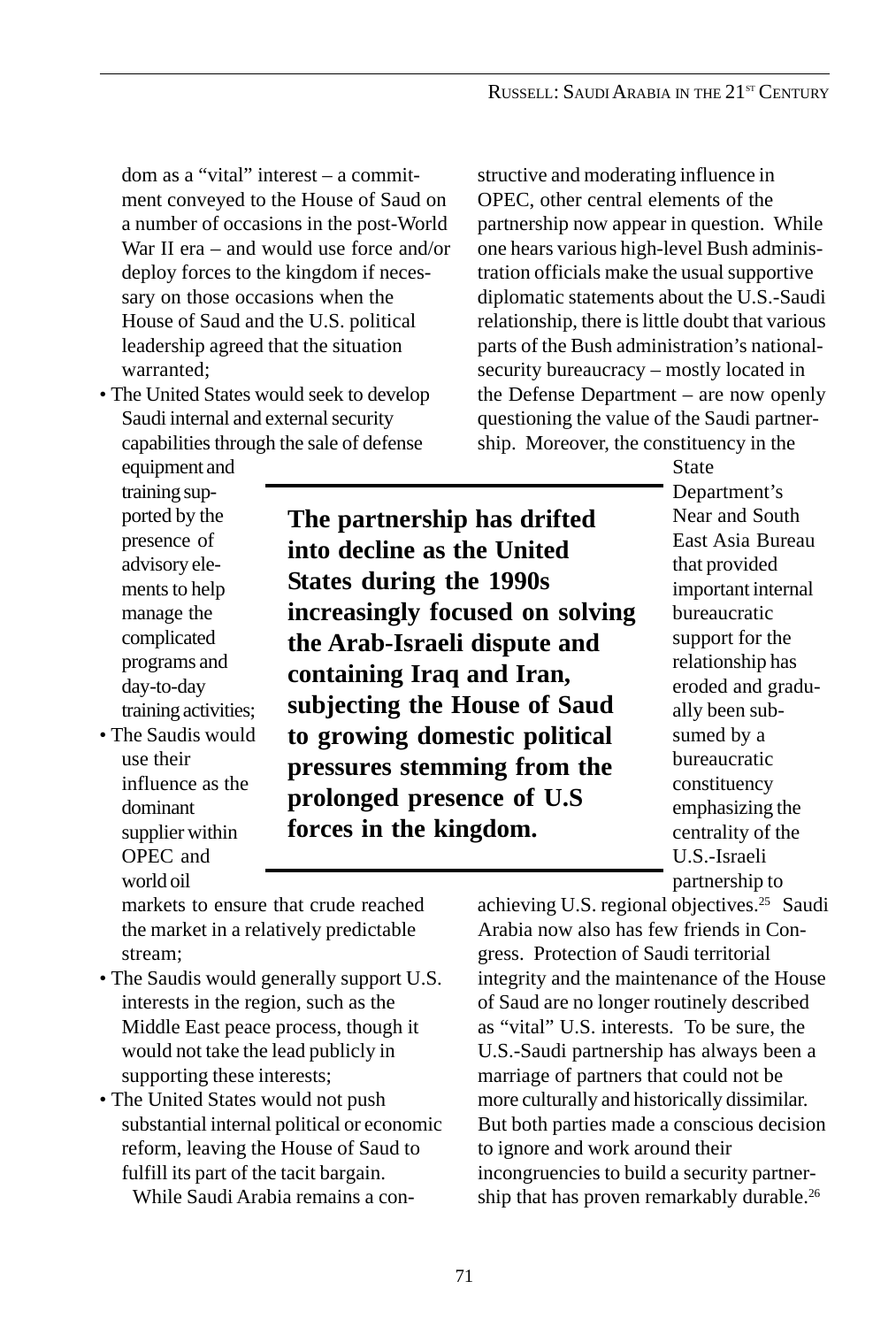dom as a "vital" interest – a commitment conveyed to the House of Saud on a number of occasions in the post-World War II era – and would use force and/or deploy forces to the kingdom if necessary on those occasions when the House of Saud and the U.S. political leadership agreed that the situation warranted;

• The United States would seek to develop Saudi internal and external security capabilities through the sale of defense

equipment and training supported by the presence of advisory elements to help manage the complicated programs and day-to-day training activities;

• The Saudis would use their influence as the dominant supplier within OPEC and world oil

**The partnership has drifted into decline as the United States during the 1990s increasingly focused on solving the Arab-Israeli dispute and containing Iraq and Iran, subjecting the House of Saud to growing domestic political pressures stemming from the prolonged presence of U.S forces in the kingdom.**

structive and moderating influence in OPEC, other central elements of the partnership now appear in question. While one hears various high-level Bush administration officials make the usual supportive diplomatic statements about the U.S.-Saudi relationship, there is little doubt that various parts of the Bush administration's nationalsecurity bureaucracy – mostly located in the Defense Department – are now openly questioning the value of the Saudi partnership. Moreover, the constituency in the

> State Department's Near and South East Asia Bureau that provided important internal bureaucratic support for the relationship has eroded and gradually been subsumed by a bureaucratic constituency emphasizing the centrality of the U.S.-Israeli partnership to

markets to ensure that crude reached the market in a relatively predictable stream;

- The Saudis would generally support U.S. interests in the region, such as the Middle East peace process, though it would not take the lead publicly in supporting these interests;
- The United States would not push substantial internal political or economic reform, leaving the House of Saud to fulfill its part of the tacit bargain.

While Saudi Arabia remains a con-

achieving U.S. regional objectives.<sup>25</sup> Saudi Arabia now also has few friends in Congress. Protection of Saudi territorial integrity and the maintenance of the House of Saud are no longer routinely described as "vital" U.S. interests. To be sure, the U.S.-Saudi partnership has always been a marriage of partners that could not be more culturally and historically dissimilar. But both parties made a conscious decision to ignore and work around their incongruencies to build a security partnership that has proven remarkably durable.<sup>26</sup>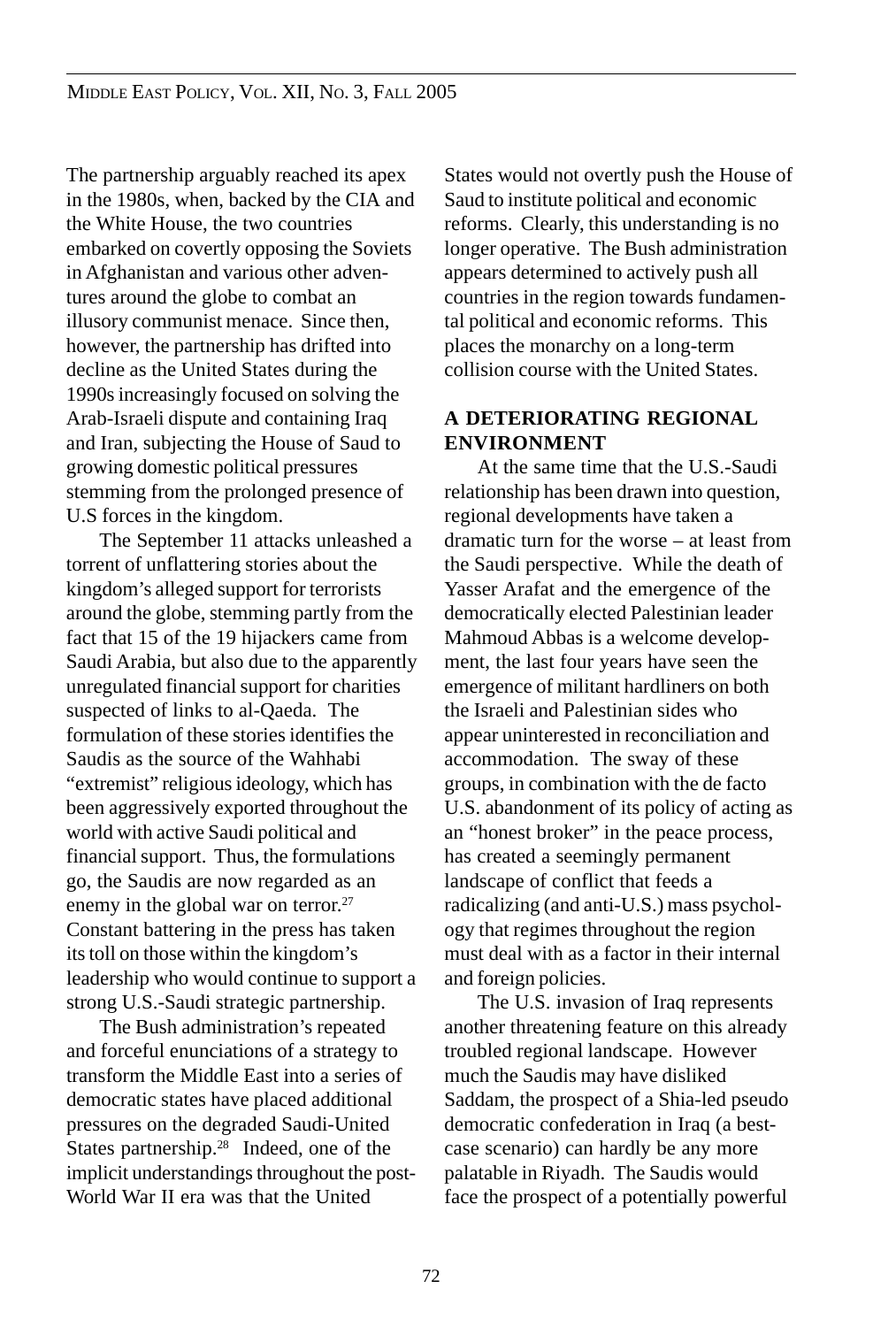The partnership arguably reached its apex in the 1980s, when, backed by the CIA and the White House, the two countries embarked on covertly opposing the Soviets in Afghanistan and various other adventures around the globe to combat an illusory communist menace. Since then, however, the partnership has drifted into decline as the United States during the 1990s increasingly focused on solving the Arab-Israeli dispute and containing Iraq and Iran, subjecting the House of Saud to growing domestic political pressures stemming from the prolonged presence of U.S forces in the kingdom.

The September 11 attacks unleashed a torrent of unflattering stories about the kingdom's alleged support for terrorists around the globe, stemming partly from the fact that 15 of the 19 hijackers came from Saudi Arabia, but also due to the apparently unregulated financial support for charities suspected of links to al-Qaeda. The formulation of these stories identifies the Saudis as the source of the Wahhabi "extremist" religious ideology, which has been aggressively exported throughout the world with active Saudi political and financial support. Thus, the formulations go, the Saudis are now regarded as an enemy in the global war on terror.<sup>27</sup> Constant battering in the press has taken its toll on those within the kingdom's leadership who would continue to support a strong U.S.-Saudi strategic partnership.

The Bush administration's repeated and forceful enunciations of a strategy to transform the Middle East into a series of democratic states have placed additional pressures on the degraded Saudi-United States partnership.28 Indeed, one of the implicit understandings throughout the post-World War II era was that the United

States would not overtly push the House of Saud to institute political and economic reforms. Clearly, this understanding is no longer operative. The Bush administration appears determined to actively push all countries in the region towards fundamental political and economic reforms. This places the monarchy on a long-term collision course with the United States.

### **A DETERIORATING REGIONAL ENVIRONMENT**

At the same time that the U.S.-Saudi relationship has been drawn into question, regional developments have taken a dramatic turn for the worse – at least from the Saudi perspective. While the death of Yasser Arafat and the emergence of the democratically elected Palestinian leader Mahmoud Abbas is a welcome development, the last four years have seen the emergence of militant hardliners on both the Israeli and Palestinian sides who appear uninterested in reconciliation and accommodation. The sway of these groups, in combination with the de facto U.S. abandonment of its policy of acting as an "honest broker" in the peace process, has created a seemingly permanent landscape of conflict that feeds a radicalizing (and anti-U.S.) mass psychology that regimes throughout the region must deal with as a factor in their internal and foreign policies.

The U.S. invasion of Iraq represents another threatening feature on this already troubled regional landscape. However much the Saudis may have disliked Saddam, the prospect of a Shia-led pseudo democratic confederation in Iraq (a bestcase scenario) can hardly be any more palatable in Riyadh. The Saudis would face the prospect of a potentially powerful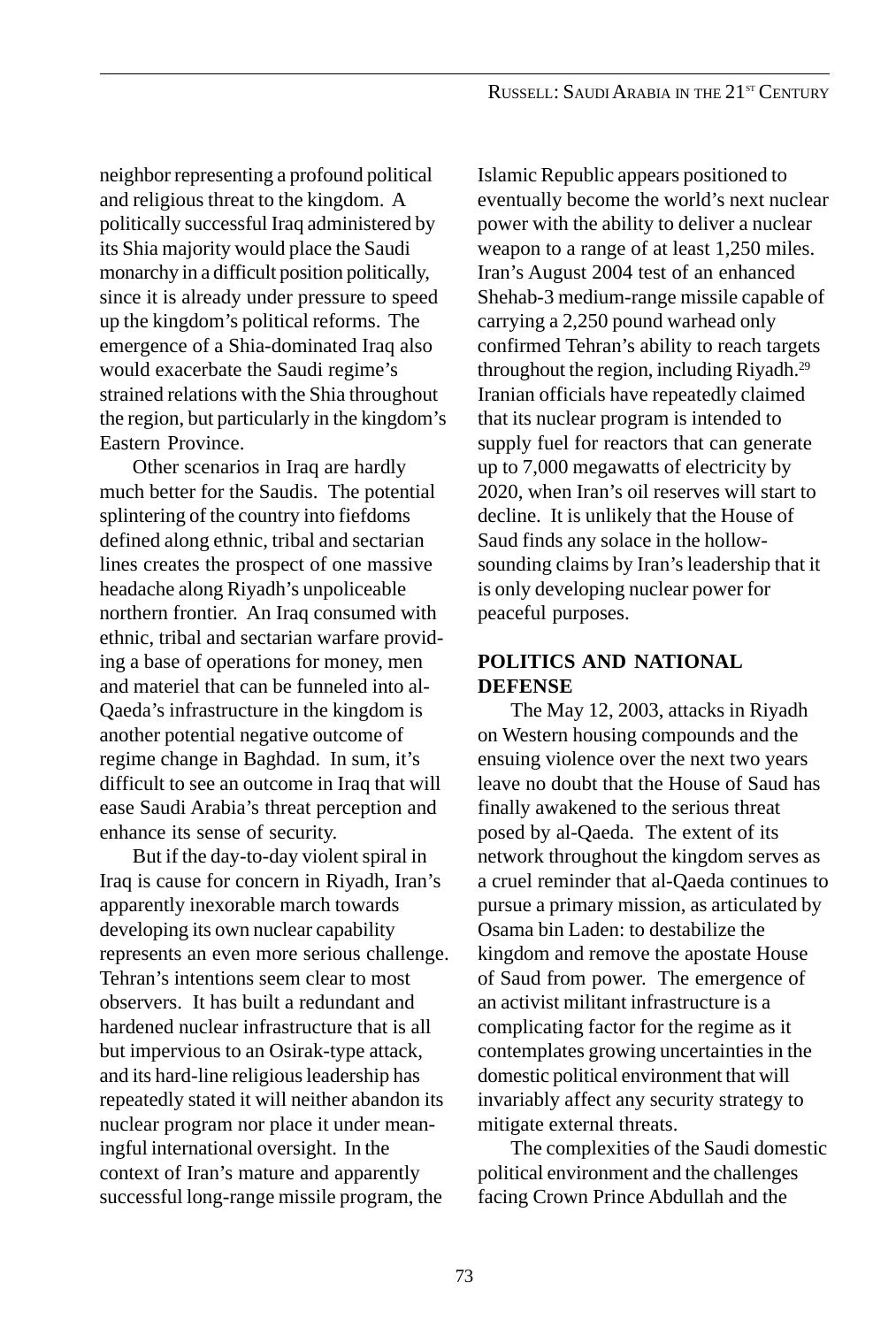neighbor representing a profound political and religious threat to the kingdom. A politically successful Iraq administered by its Shia majority would place the Saudi monarchy in a difficult position politically, since it is already under pressure to speed up the kingdom's political reforms. The emergence of a Shia-dominated Iraq also would exacerbate the Saudi regime's strained relations with the Shia throughout the region, but particularly in the kingdom's Eastern Province.

Other scenarios in Iraq are hardly much better for the Saudis. The potential splintering of the country into fiefdoms defined along ethnic, tribal and sectarian lines creates the prospect of one massive headache along Riyadh's unpoliceable northern frontier. An Iraq consumed with ethnic, tribal and sectarian warfare providing a base of operations for money, men and materiel that can be funneled into al-Qaeda's infrastructure in the kingdom is another potential negative outcome of regime change in Baghdad. In sum, it's difficult to see an outcome in Iraq that will ease Saudi Arabia's threat perception and enhance its sense of security.

But if the day-to-day violent spiral in Iraq is cause for concern in Riyadh, Iran's apparently inexorable march towards developing its own nuclear capability represents an even more serious challenge. Tehran's intentions seem clear to most observers. It has built a redundant and hardened nuclear infrastructure that is all but impervious to an Osirak-type attack, and its hard-line religious leadership has repeatedly stated it will neither abandon its nuclear program nor place it under meaningful international oversight. In the context of Iran's mature and apparently successful long-range missile program, the

Islamic Republic appears positioned to eventually become the world's next nuclear power with the ability to deliver a nuclear weapon to a range of at least 1,250 miles. Iran's August 2004 test of an enhanced Shehab-3 medium-range missile capable of carrying a 2,250 pound warhead only confirmed Tehran's ability to reach targets throughout the region, including Riyadh. $^{29}$ Iranian officials have repeatedly claimed that its nuclear program is intended to supply fuel for reactors that can generate up to 7,000 megawatts of electricity by 2020, when Iran's oil reserves will start to decline. It is unlikely that the House of Saud finds any solace in the hollowsounding claims by Iran's leadership that it is only developing nuclear power for peaceful purposes.

# **POLITICS AND NATIONAL DEFENSE**

The May 12, 2003, attacks in Riyadh on Western housing compounds and the ensuing violence over the next two years leave no doubt that the House of Saud has finally awakened to the serious threat posed by al-Qaeda. The extent of its network throughout the kingdom serves as a cruel reminder that al-Qaeda continues to pursue a primary mission, as articulated by Osama bin Laden: to destabilize the kingdom and remove the apostate House of Saud from power. The emergence of an activist militant infrastructure is a complicating factor for the regime as it contemplates growing uncertainties in the domestic political environment that will invariably affect any security strategy to mitigate external threats.

The complexities of the Saudi domestic political environment and the challenges facing Crown Prince Abdullah and the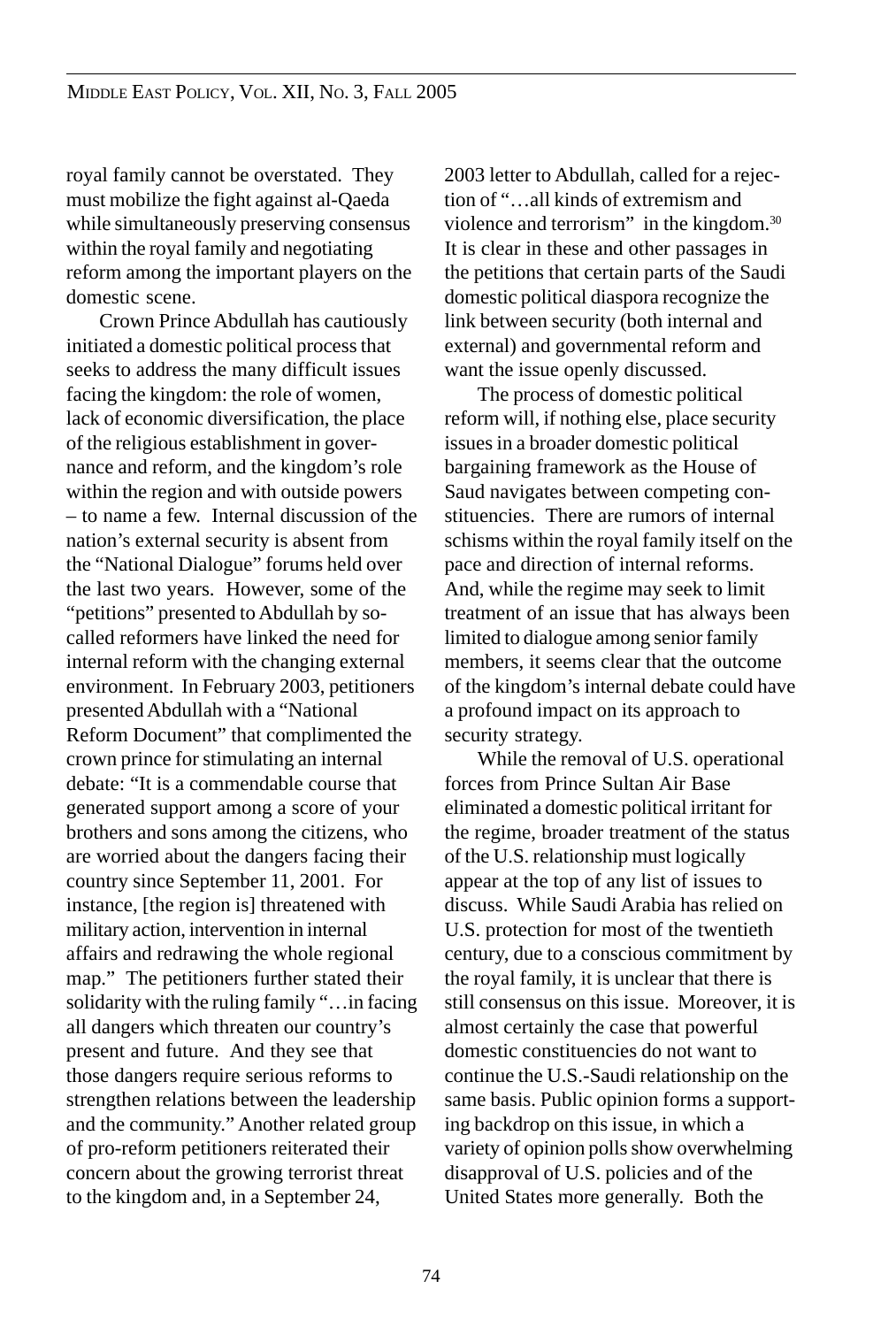royal family cannot be overstated. They must mobilize the fight against al-Qaeda while simultaneously preserving consensus within the royal family and negotiating reform among the important players on the domestic scene.

Crown Prince Abdullah has cautiously initiated a domestic political process that seeks to address the many difficult issues facing the kingdom: the role of women, lack of economic diversification, the place of the religious establishment in governance and reform, and the kingdom's role within the region and with outside powers – to name a few. Internal discussion of the nation's external security is absent from the "National Dialogue" forums held over the last two years. However, some of the "petitions" presented to Abdullah by socalled reformers have linked the need for internal reform with the changing external environment. In February 2003, petitioners presented Abdullah with a "National Reform Document" that complimented the crown prince for stimulating an internal debate: "It is a commendable course that generated support among a score of your brothers and sons among the citizens, who are worried about the dangers facing their country since September 11, 2001. For instance, [the region is] threatened with military action, intervention in internal affairs and redrawing the whole regional map." The petitioners further stated their solidarity with the ruling family "…in facing all dangers which threaten our country's present and future. And they see that those dangers require serious reforms to strengthen relations between the leadership and the community." Another related group of pro-reform petitioners reiterated their concern about the growing terrorist threat to the kingdom and, in a September 24,

2003 letter to Abdullah, called for a rejection of "…all kinds of extremism and violence and terrorism" in the kingdom.30 It is clear in these and other passages in the petitions that certain parts of the Saudi domestic political diaspora recognize the link between security (both internal and external) and governmental reform and want the issue openly discussed.

The process of domestic political reform will, if nothing else, place security issues in a broader domestic political bargaining framework as the House of Saud navigates between competing constituencies. There are rumors of internal schisms within the royal family itself on the pace and direction of internal reforms. And, while the regime may seek to limit treatment of an issue that has always been limited to dialogue among senior family members, it seems clear that the outcome of the kingdom's internal debate could have a profound impact on its approach to security strategy.

While the removal of U.S. operational forces from Prince Sultan Air Base eliminated a domestic political irritant for the regime, broader treatment of the status of the U.S. relationship must logically appear at the top of any list of issues to discuss. While Saudi Arabia has relied on U.S. protection for most of the twentieth century, due to a conscious commitment by the royal family, it is unclear that there is still consensus on this issue. Moreover, it is almost certainly the case that powerful domestic constituencies do not want to continue the U.S.-Saudi relationship on the same basis. Public opinion forms a supporting backdrop on this issue, in which a variety of opinion polls show overwhelming disapproval of U.S. policies and of the United States more generally. Both the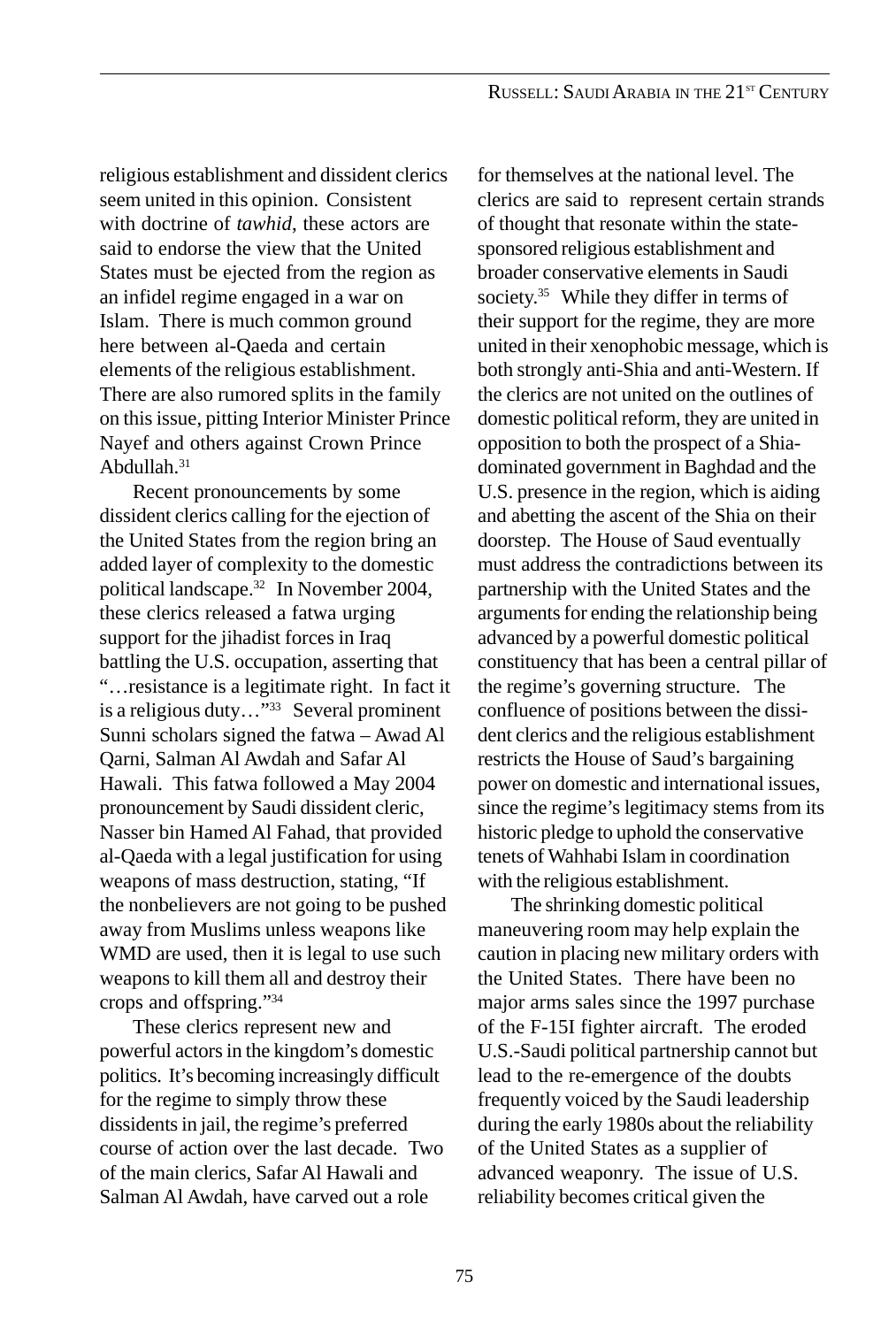religious establishment and dissident clerics seem united in this opinion. Consistent with doctrine of *tawhid*, these actors are said to endorse the view that the United States must be ejected from the region as an infidel regime engaged in a war on Islam. There is much common ground here between al-Qaeda and certain elements of the religious establishment. There are also rumored splits in the family on this issue, pitting Interior Minister Prince Nayef and others against Crown Prince Abdullah.<sup>31</sup>

Recent pronouncements by some dissident clerics calling for the ejection of the United States from the region bring an added layer of complexity to the domestic political landscape.32 In November 2004, these clerics released a fatwa urging support for the jihadist forces in Iraq battling the U.S. occupation, asserting that "…resistance is a legitimate right. In fact it is a religious duty…"33 Several prominent Sunni scholars signed the fatwa – Awad Al Qarni, Salman Al Awdah and Safar Al Hawali. This fatwa followed a May 2004 pronouncement by Saudi dissident cleric, Nasser bin Hamed Al Fahad, that provided al-Qaeda with a legal justification for using weapons of mass destruction, stating, "If the nonbelievers are not going to be pushed away from Muslims unless weapons like WMD are used, then it is legal to use such weapons to kill them all and destroy their crops and offspring."34

These clerics represent new and powerful actors in the kingdom's domestic politics. It's becoming increasingly difficult for the regime to simply throw these dissidents in jail, the regime's preferred course of action over the last decade. Two of the main clerics, Safar Al Hawali and Salman Al Awdah, have carved out a role

for themselves at the national level. The clerics are said to represent certain strands of thought that resonate within the statesponsored religious establishment and broader conservative elements in Saudi society.<sup>35</sup> While they differ in terms of their support for the regime, they are more united in their xenophobic message, which is both strongly anti-Shia and anti-Western. If the clerics are not united on the outlines of domestic political reform, they are united in opposition to both the prospect of a Shiadominated government in Baghdad and the U.S. presence in the region, which is aiding and abetting the ascent of the Shia on their doorstep. The House of Saud eventually must address the contradictions between its partnership with the United States and the arguments for ending the relationship being advanced by a powerful domestic political constituency that has been a central pillar of the regime's governing structure. The confluence of positions between the dissident clerics and the religious establishment restricts the House of Saud's bargaining power on domestic and international issues, since the regime's legitimacy stems from its historic pledge to uphold the conservative tenets of Wahhabi Islam in coordination with the religious establishment.

The shrinking domestic political maneuvering room may help explain the caution in placing new military orders with the United States. There have been no major arms sales since the 1997 purchase of the F-15I fighter aircraft. The eroded U.S.-Saudi political partnership cannot but lead to the re-emergence of the doubts frequently voiced by the Saudi leadership during the early 1980s about the reliability of the United States as a supplier of advanced weaponry. The issue of U.S. reliability becomes critical given the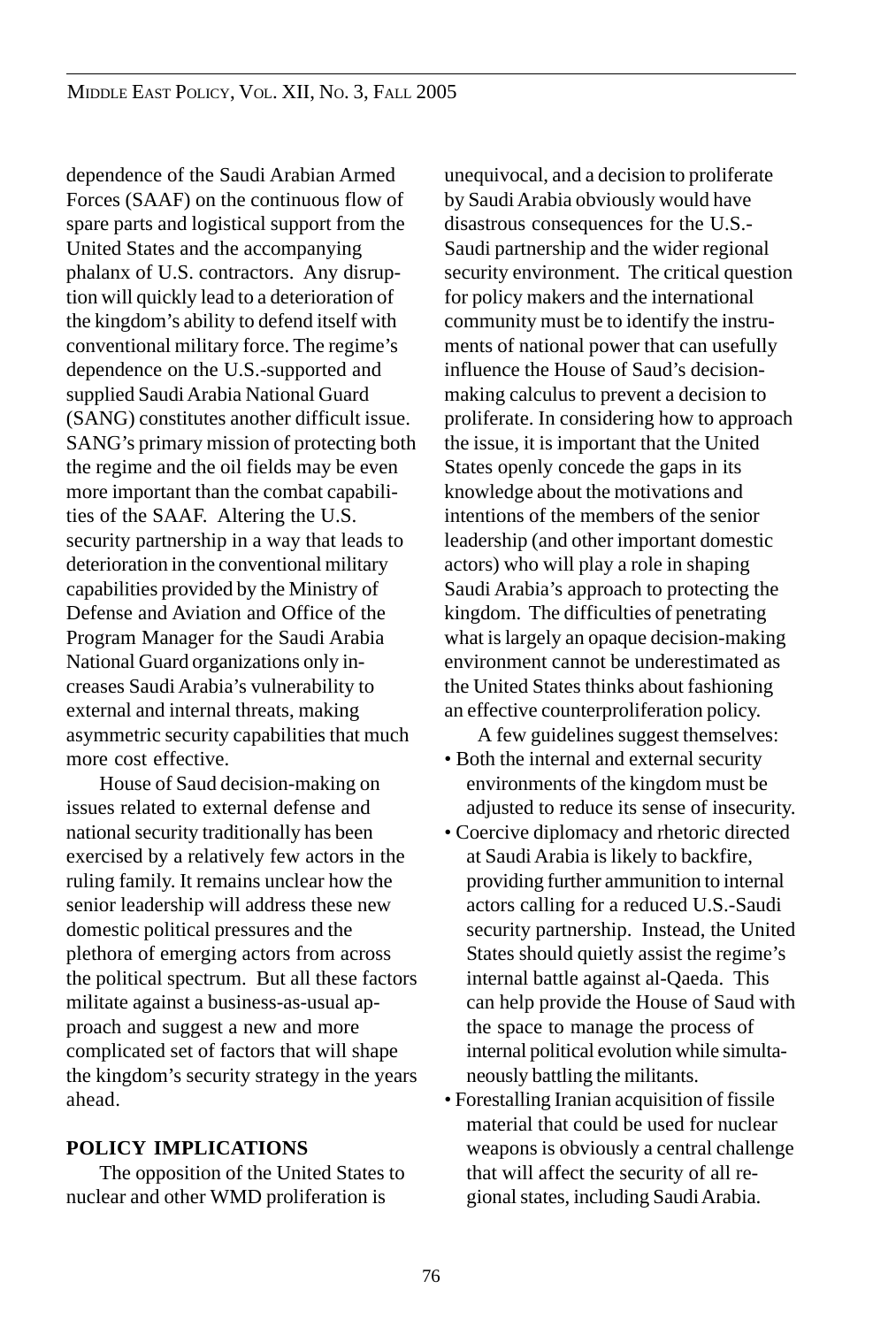dependence of the Saudi Arabian Armed Forces (SAAF) on the continuous flow of spare parts and logistical support from the United States and the accompanying phalanx of U.S. contractors. Any disruption will quickly lead to a deterioration of the kingdom's ability to defend itself with conventional military force. The regime's dependence on the U.S.-supported and supplied Saudi Arabia National Guard (SANG) constitutes another difficult issue. SANG's primary mission of protecting both the regime and the oil fields may be even more important than the combat capabilities of the SAAF. Altering the U.S. security partnership in a way that leads to deterioration in the conventional military capabilities provided by the Ministry of Defense and Aviation and Office of the Program Manager for the Saudi Arabia National Guard organizations only increases Saudi Arabia's vulnerability to external and internal threats, making asymmetric security capabilities that much more cost effective.

House of Saud decision-making on issues related to external defense and national security traditionally has been exercised by a relatively few actors in the ruling family. It remains unclear how the senior leadership will address these new domestic political pressures and the plethora of emerging actors from across the political spectrum. But all these factors militate against a business-as-usual approach and suggest a new and more complicated set of factors that will shape the kingdom's security strategy in the years ahead.

#### **POLICY IMPLICATIONS**

The opposition of the United States to nuclear and other WMD proliferation is

unequivocal, and a decision to proliferate by Saudi Arabia obviously would have disastrous consequences for the U.S.- Saudi partnership and the wider regional security environment. The critical question for policy makers and the international community must be to identify the instruments of national power that can usefully influence the House of Saud's decisionmaking calculus to prevent a decision to proliferate. In considering how to approach the issue, it is important that the United States openly concede the gaps in its knowledge about the motivations and intentions of the members of the senior leadership (and other important domestic actors) who will play a role in shaping Saudi Arabia's approach to protecting the kingdom. The difficulties of penetrating what is largely an opaque decision-making environment cannot be underestimated as the United States thinks about fashioning an effective counterproliferation policy.

A few guidelines suggest themselves:

- Both the internal and external security environments of the kingdom must be adjusted to reduce its sense of insecurity.
- Coercive diplomacy and rhetoric directed at Saudi Arabia is likely to backfire, providing further ammunition to internal actors calling for a reduced U.S.-Saudi security partnership. Instead, the United States should quietly assist the regime's internal battle against al-Qaeda. This can help provide the House of Saud with the space to manage the process of internal political evolution while simultaneously battling the militants.
- Forestalling Iranian acquisition of fissile material that could be used for nuclear weapons is obviously a central challenge that will affect the security of all regional states, including Saudi Arabia.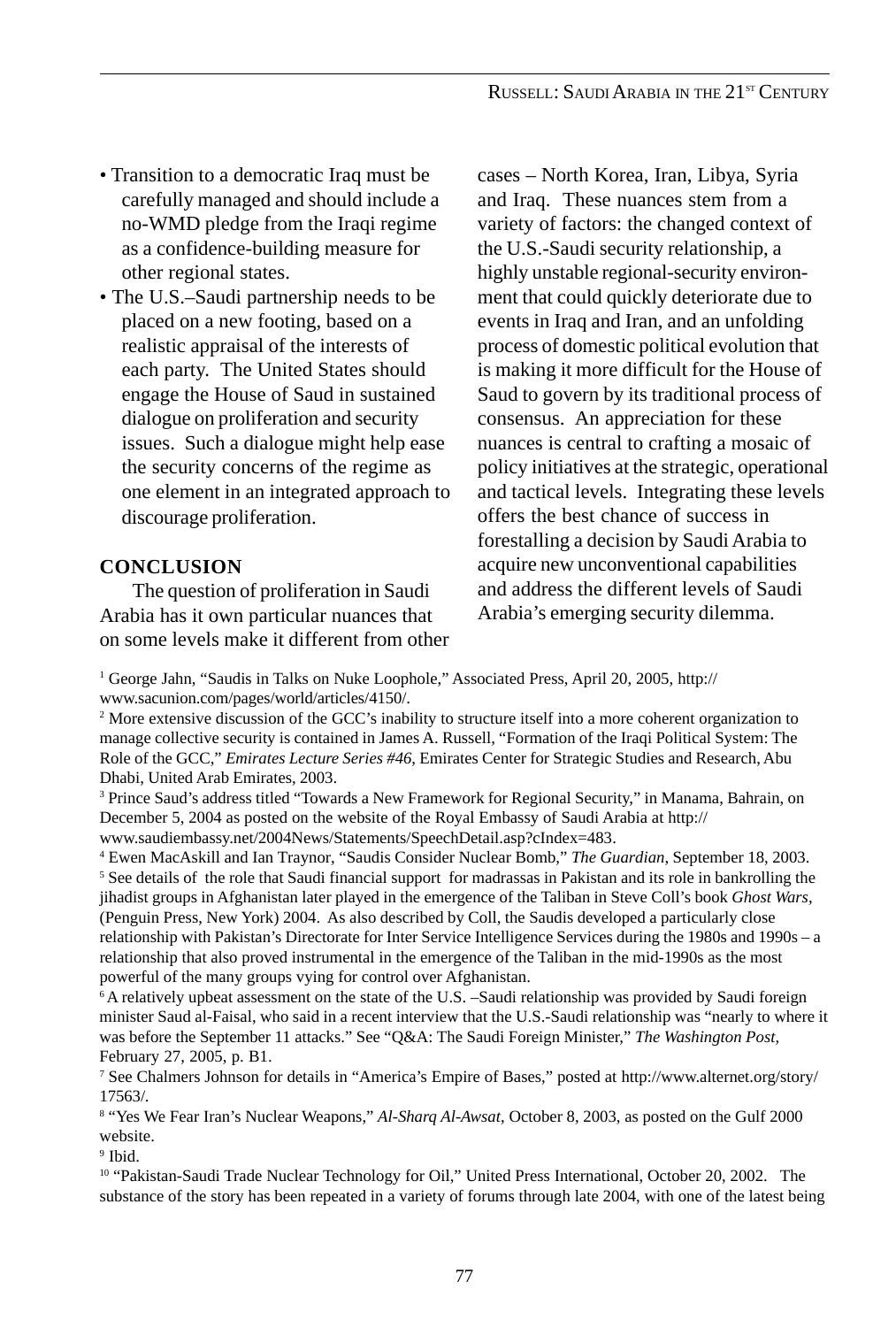- Transition to a democratic Iraq must be carefully managed and should include a no-WMD pledge from the Iraqi regime as a confidence-building measure for other regional states.
- The U.S.–Saudi partnership needs to be placed on a new footing, based on a realistic appraisal of the interests of each party. The United States should engage the House of Saud in sustained dialogue on proliferation and security issues. Such a dialogue might help ease the security concerns of the regime as one element in an integrated approach to discourage proliferation.

# **CONCLUSION**

The question of proliferation in Saudi Arabia has it own particular nuances that on some levels make it different from other cases – North Korea, Iran, Libya, Syria and Iraq. These nuances stem from a variety of factors: the changed context of the U.S.-Saudi security relationship, a highly unstable regional-security environment that could quickly deteriorate due to events in Iraq and Iran, and an unfolding process of domestic political evolution that is making it more difficult for the House of Saud to govern by its traditional process of consensus. An appreciation for these nuances is central to crafting a mosaic of policy initiatives at the strategic, operational and tactical levels. Integrating these levels offers the best chance of success in forestalling a decision by Saudi Arabia to acquire new unconventional capabilities and address the different levels of Saudi Arabia's emerging security dilemma.

1 George Jahn, "Saudis in Talks on Nuke Loophole," Associated Press, April 20, 2005, http:// www.sacunion.com/pages/world/articles/4150/.

<sup>2</sup> More extensive discussion of the GCC's inability to structure itself into a more coherent organization to manage collective security is contained in James A. Russell, "Formation of the Iraqi Political System: The Role of the GCC," *Emirates Lecture Series #46*, Emirates Center for Strategic Studies and Research, Abu Dhabi, United Arab Emirates, 2003.

<sup>3</sup> Prince Saud's address titled "Towards a New Framework for Regional Security," in Manama, Bahrain, on December 5, 2004 as posted on the website of the Royal Embassy of Saudi Arabia at http:// www.saudiembassy.net/2004News/Statements/SpeechDetail.asp?cIndex=483.

4 Ewen MacAskill and Ian Traynor, "Saudis Consider Nuclear Bomb," *The Guardian*, September 18, 2003. <sup>5</sup> See details of the role that Saudi financial support for madrassas in Pakistan and its role in bankrolling the jihadist groups in Afghanistan later played in the emergence of the Taliban in Steve Coll's book *Ghost Wars*, (Penguin Press, New York) 2004. As also described by Coll, the Saudis developed a particularly close relationship with Pakistan's Directorate for Inter Service Intelligence Services during the 1980s and 1990s – a relationship that also proved instrumental in the emergence of the Taliban in the mid-1990s as the most powerful of the many groups vying for control over Afghanistan.

6 A relatively upbeat assessment on the state of the U.S. –Saudi relationship was provided by Saudi foreign minister Saud al-Faisal, who said in a recent interview that the U.S.-Saudi relationship was "nearly to where it was before the September 11 attacks." See "Q&A: The Saudi Foreign Minister," *The Washington Post*, February 27, 2005, p. B1.

7 See Chalmers Johnson for details in "America's Empire of Bases," posted at http://www.alternet.org/story/ 17563/.

<sup>8</sup> "Yes We Fear Iran's Nuclear Weapons," *Al-Sharq Al-Awsat*, October 8, 2003, as posted on the Gulf 2000 website.

9 Ibid.

<sup>10</sup> "Pakistan-Saudi Trade Nuclear Technology for Oil," United Press International, October 20, 2002. The substance of the story has been repeated in a variety of forums through late 2004, with one of the latest being